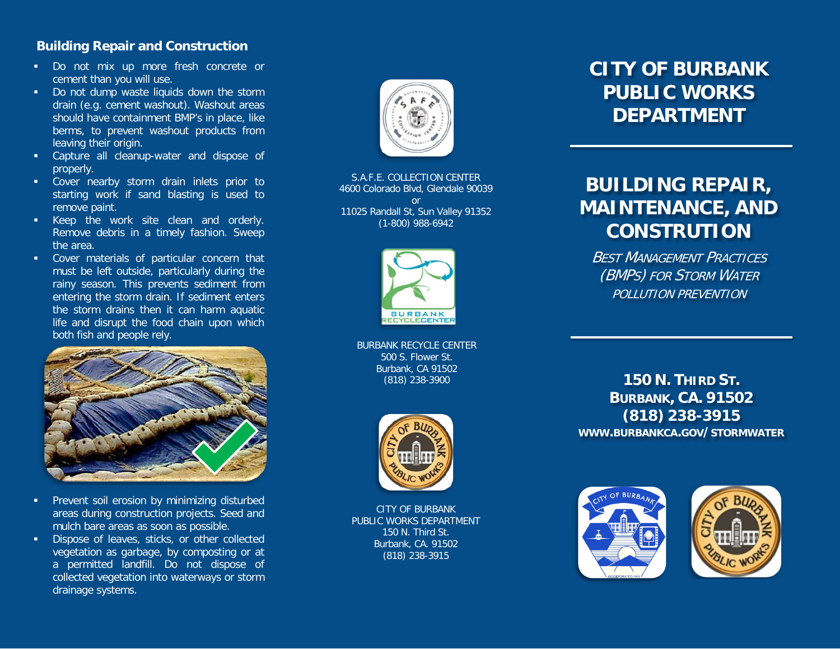### **Building Repair and Construction**

- Do not mix up more fresh concrete or cement than you will use.
- Do not dump waste liquids down the storm drain (e.g. cement washout). Washout areas should have containment BMP's in place, like berms, to prevent washout products from leaving their origin.
- Capture all cleanup-water and dispose of properly.
- Cover nearby storm drain inlets prior to starting work if sand blasting is used to remove paint.
- Keep the work site clean and orderly. Remove debris in a timely fashion. Sweep the area.
- Cover materials of particular concern that must be left outside, particularly during the rainy season. This prevents sediment from entering the storm drain. If sediment enters the storm drains then it can harm aquatic life and disrupt the food chain upon which both fish and people rely.



- Prevent soil erosion by minimizing disturbed areas during construction projects. Seed and mulch bare areas as soon as possible.
- Dispose of leaves, sticks, or other collected vegetation as garbage, by composting or at a permitted landfill. Do not dispose of collected vegetation into waterways or storm drainage systems.



S.A.F.E. COLLECTION CENTER 4600 Colorado Blvd, Glendale 90039 or 11025 Randall St, Sun Valley 91352 (1-800) 988-6942



BURBANK RECYCLE CENTER 500 S. Flower St. Burbank, CA 91502 (818) 238-3900



CITY OF BURBANK PUBLIC WORKS DEPARTMENT 150 N. Third St. Burbank, CA. 91502 (818) 238-3915

# **CITY OF BURBANK PUBLIC WORKS DEPARTMENT**

# **BUILDING REPAIR, MAINTENANCE, AND CONSTRUTION**

**BEST MANAGEMENT PRACTICES** (BMPS) FOR STORM WATER POLLUTION PREVENTION

**150 N. THIRD ST. BURBANK, CA. 91502 (818) 238-3915 WWW.BURBANKCA.GOV/STORMWATER**